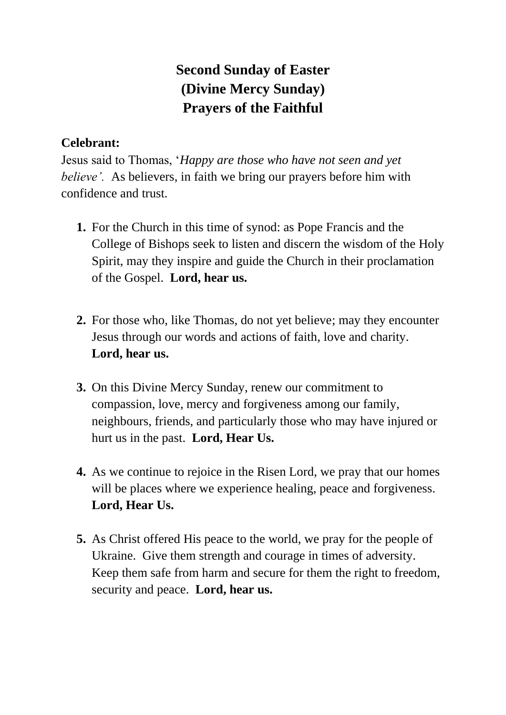## **Second Sunday of Easter (Divine Mercy Sunday) Prayers of the Faithful**

## **Celebrant:**

Jesus said to Thomas, '*Happy are those who have not seen and yet believe'.* As believers, in faith we bring our prayers before him with confidence and trust.

- **1.** For the Church in this time of synod: as Pope Francis and the College of Bishops seek to listen and discern the wisdom of the Holy Spirit, may they inspire and guide the Church in their proclamation of the Gospel. **Lord, hear us.**
- **2.** For those who, like Thomas, do not yet believe; may they encounter Jesus through our words and actions of faith, love and charity. **Lord, hear us.**
- **3.** On this Divine Mercy Sunday, renew our commitment to compassion, love, mercy and forgiveness among our family, neighbours, friends, and particularly those who may have injured or hurt us in the past. **Lord, Hear Us.**
- **4.** As we continue to rejoice in the Risen Lord, we pray that our homes will be places where we experience healing, peace and forgiveness. **Lord, Hear Us.**
- **5.** As Christ offered His peace to the world, we pray for the people of Ukraine. Give them strength and courage in times of adversity. Keep them safe from harm and secure for them the right to freedom, security and peace. **Lord, hear us.**